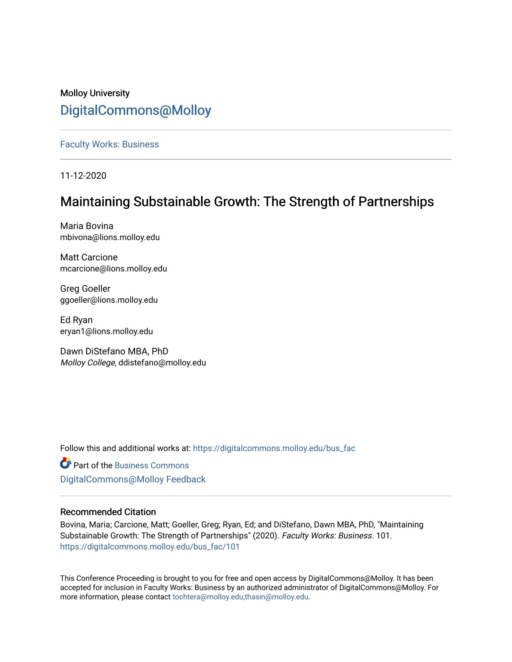## Molloy University [DigitalCommons@Molloy](https://digitalcommons.molloy.edu/)

[Faculty Works: Business](https://digitalcommons.molloy.edu/bus_fac) 

11-12-2020

## Maintaining Substainable Growth: The Strength of Partnerships

Maria Bovina mbivona@lions.molloy.edu

Matt Carcione mcarcione@lions.molloy.edu

Greg Goeller ggoeller@lions.molloy.edu

Ed Ryan eryan1@lions.molloy.edu

Dawn DiStefano MBA, PhD Molloy College, ddistefano@molloy.edu

Follow this and additional works at: [https://digitalcommons.molloy.edu/bus\\_fac](https://digitalcommons.molloy.edu/bus_fac?utm_source=digitalcommons.molloy.edu%2Fbus_fac%2F101&utm_medium=PDF&utm_campaign=PDFCoverPages)

**C** Part of the [Business Commons](https://network.bepress.com/hgg/discipline/622?utm_source=digitalcommons.molloy.edu%2Fbus_fac%2F101&utm_medium=PDF&utm_campaign=PDFCoverPages) [DigitalCommons@Molloy Feedback](https://molloy.libwizard.com/f/dcfeedback)

## Recommended Citation

Bovina, Maria; Carcione, Matt; Goeller, Greg; Ryan, Ed; and DiStefano, Dawn MBA, PhD, "Maintaining Substainable Growth: The Strength of Partnerships" (2020). Faculty Works: Business. 101. [https://digitalcommons.molloy.edu/bus\\_fac/101](https://digitalcommons.molloy.edu/bus_fac/101?utm_source=digitalcommons.molloy.edu%2Fbus_fac%2F101&utm_medium=PDF&utm_campaign=PDFCoverPages)

This Conference Proceeding is brought to you for free and open access by DigitalCommons@Molloy. It has been accepted for inclusion in Faculty Works: Business by an authorized administrator of DigitalCommons@Molloy. For more information, please contact [tochtera@molloy.edu,thasin@molloy.edu.](mailto:tochtera@molloy.edu,thasin@molloy.edu)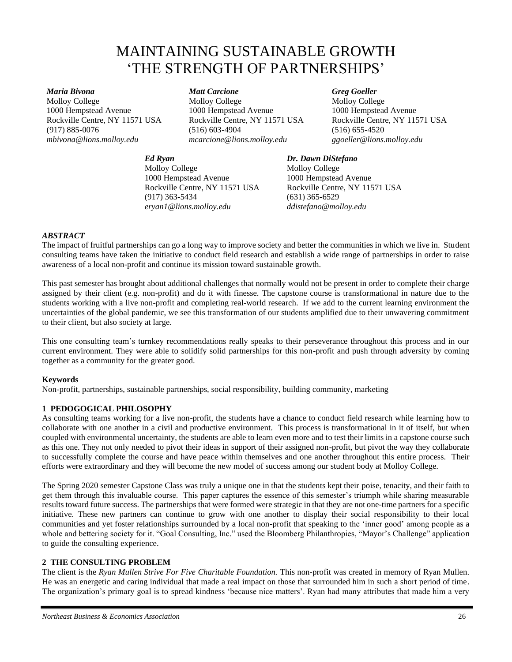# MAINTAINING SUSTAINABLE GROWTH 'THE STRENGTH OF PARTNERSHIPS'

*Maria Bivona* Molloy College 1000 Hempstead Avenue Rockville Centre, NY 11571 USA (917) 885-0076 *mbivona@lions.molloy.edu*

## *Ed Ryan*

(516) 603-4904 *mcarcione@lions.molloy.edu*

1000 Hempstead Avenue

Rockville Centre, NY 11571 USA

*Matt Carcione* Molloy College

Molloy College 1000 Hempstead Avenue Rockville Centre, NY 11571 USA (917) 363-5434 *eryan1@lions.molloy.edu*

#### *Greg Goeller*

Molloy College 1000 Hempstead Avenue Rockville Centre, NY 11571 USA (516) 655-4520 *ggoeller@lions.molloy.edu*

#### *Dr. Dawn DiStefano*

Molloy College 1000 Hempstead Avenue Rockville Centre, NY 11571 USA (631) 365-6529 *ddistefano@molloy.edu*

## *ABSTRACT*

The impact of fruitful partnerships can go a long way to improve society and better the communities in which we live in. Student consulting teams have taken the initiative to conduct field research and establish a wide range of partnerships in order to raise awareness of a local non-profit and continue its mission toward sustainable growth.

This past semester has brought about additional challenges that normally would not be present in order to complete their charge assigned by their client (e.g. non-profit) and do it with finesse. The capstone course is transformational in nature due to the students working with a live non-profit and completing real-world research. If we add to the current learning environment the uncertainties of the global pandemic, we see this transformation of our students amplified due to their unwavering commitment to their client, but also society at large.

This one consulting team's turnkey recommendations really speaks to their perseverance throughout this process and in our current environment. They were able to solidify solid partnerships for this non-profit and push through adversity by coming together as a community for the greater good.

## **Keywords**

Non-profit, partnerships, sustainable partnerships, social responsibility, building community, marketing

## **1 PEDOGOGICAL PHILOSOPHY**

As consulting teams working for a live non-profit, the students have a chance to conduct field research while learning how to collaborate with one another in a civil and productive environment. This process is transformational in it of itself, but when coupled with environmental uncertainty, the students are able to learn even more and to test their limits in a capstone course such as this one. They not only needed to pivot their ideas in support of their assigned non-profit, but pivot the way they collaborate to successfully complete the course and have peace within themselves and one another throughout this entire process. Their efforts were extraordinary and they will become the new model of success among our student body at Molloy College.

The Spring 2020 semester Capstone Class was truly a unique one in that the students kept their poise, tenacity, and their faith to get them through this invaluable course. This paper captures the essence of this semester's triumph while sharing measurable results toward future success. The partnerships that were formed were strategic in that they are not one-time partners for a specific initiative. These new partners can continue to grow with one another to display their social responsibility to their local communities and yet foster relationships surrounded by a local non-profit that speaking to the 'inner good' among people as a whole and bettering society for it. "Goal Consulting, Inc." used the Bloomberg Philanthropies, "Mayor's Challenge" application to guide the consulting experience.

#### **2 THE CONSULTING PROBLEM**

The client is the *Ryan Mullen Strive For Five Charitable Foundation.* This non-profit was created in memory of Ryan Mullen. He was an energetic and caring individual that made a real impact on those that surrounded him in such a short period of time. The organization's primary goal is to spread kindness 'because nice matters'. Ryan had many attributes that made him a very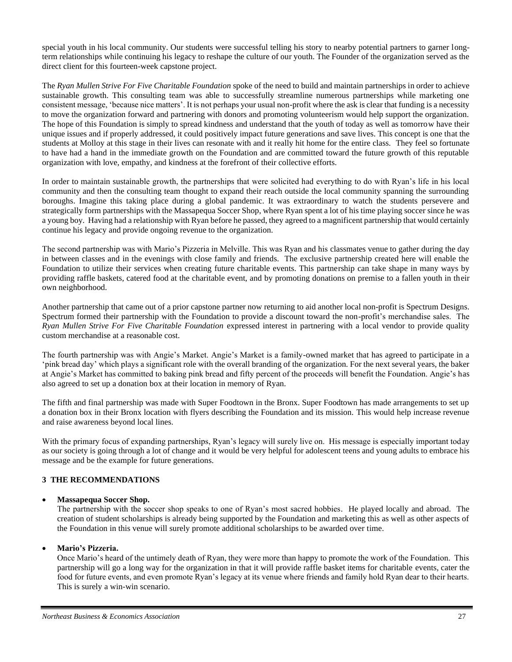special youth in his local community. Our students were successful telling his story to nearby potential partners to garner longterm relationships while continuing his legacy to reshape the culture of our youth. The Founder of the organization served as the direct client for this fourteen-week capstone project.

The *Ryan Mullen Strive For Five Charitable Foundation* spoke of the need to build and maintain partnerships in order to achieve sustainable growth. This consulting team was able to successfully streamline numerous partnerships while marketing one consistent message, 'because nice matters'. It is not perhaps your usual non-profit where the ask is clear that funding is a necessity to move the organization forward and partnering with donors and promoting volunteerism would help support the organization. The hope of this Foundation is simply to spread kindness and understand that the youth of today as well as tomorrow have their unique issues and if properly addressed, it could positively impact future generations and save lives. This concept is one that the students at Molloy at this stage in their lives can resonate with and it really hit home for the entire class. They feel so fortunate to have had a hand in the immediate growth on the Foundation and are committed toward the future growth of this reputable organization with love, empathy, and kindness at the forefront of their collective efforts.

In order to maintain sustainable growth, the partnerships that were solicited had everything to do with Ryan's life in his local community and then the consulting team thought to expand their reach outside the local community spanning the surrounding boroughs. Imagine this taking place during a global pandemic. It was extraordinary to watch the students persevere and strategically form partnerships with the Massapequa Soccer Shop, where Ryan spent a lot of his time playing soccer since he was a young boy. Having had a relationship with Ryan before he passed, they agreed to a magnificent partnership that would certainly continue his legacy and provide ongoing revenue to the organization.

The second partnership was with Mario's Pizzeria in Melville. This was Ryan and his classmates venue to gather during the day in between classes and in the evenings with close family and friends. The exclusive partnership created here will enable the Foundation to utilize their services when creating future charitable events. This partnership can take shape in many ways by providing raffle baskets, catered food at the charitable event, and by promoting donations on premise to a fallen youth in their own neighborhood.

Another partnership that came out of a prior capstone partner now returning to aid another local non-profit is Spectrum Designs. Spectrum formed their partnership with the Foundation to provide a discount toward the non-profit's merchandise sales. The *Ryan Mullen Strive For Five Charitable Foundation* expressed interest in partnering with a local vendor to provide quality custom merchandise at a reasonable cost.

The fourth partnership was with Angie's Market. Angie's Market is a family-owned market that has agreed to participate in a 'pink bread day' which plays a significant role with the overall branding of the organization. For the next several years, the baker at Angie's Market has committed to baking pink bread and fifty percent of the proceeds will benefit the Foundation. Angie's has also agreed to set up a donation box at their location in memory of Ryan.

The fifth and final partnership was made with Super Foodtown in the Bronx. Super Foodtown has made arrangements to set up a donation box in their Bronx location with flyers describing the Foundation and its mission. This would help increase revenue and raise awareness beyond local lines.

With the primary focus of expanding partnerships, Ryan's legacy will surely live on. His message is especially important today as our society is going through a lot of change and it would be very helpful for adolescent teens and young adults to embrace his message and be the example for future generations.

## **3 THE RECOMMENDATIONS**

#### • **Massapequa Soccer Shop.**

The partnership with the soccer shop speaks to one of Ryan's most sacred hobbies. He played locally and abroad. The creation of student scholarships is already being supported by the Foundation and marketing this as well as other aspects of the Foundation in this venue will surely promote additional scholarships to be awarded over time.

#### • **Mario's Pizzeria.**

Once Mario's heard of the untimely death of Ryan, they were more than happy to promote the work of the Foundation. This partnership will go a long way for the organization in that it will provide raffle basket items for charitable events, cater the food for future events, and even promote Ryan's legacy at its venue where friends and family hold Ryan dear to their hearts. This is surely a win-win scenario.